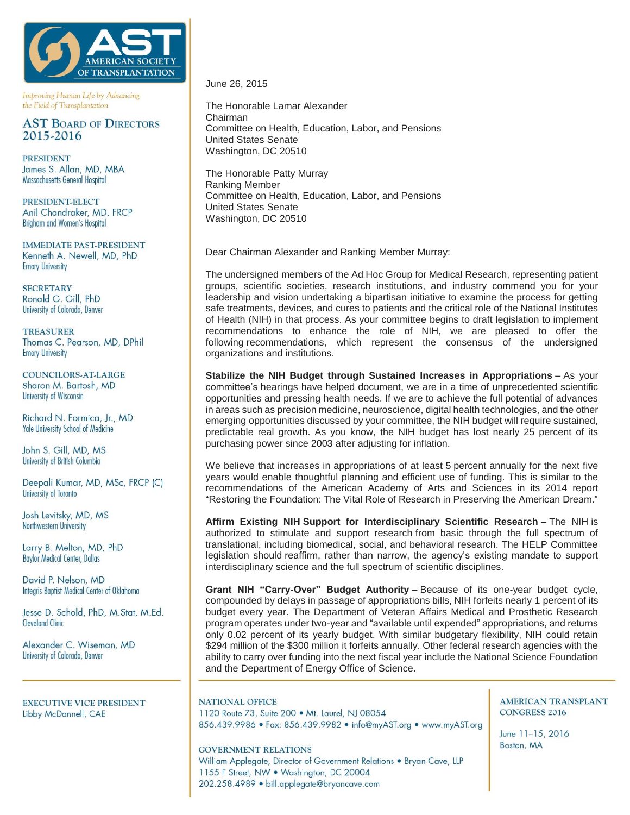

Improving Human Life by Advancing the Field of Transplantation

# **AST BOARD OF DIRECTORS** 2015-2016

**PRESIDENT** James S. Allan, MD, MBA Massachusetts General Hospital

PRESIDENT-ELECT Anil Chandraker, MD, FRCP Brigham and Women's Hospital

**IMMEDIATE PAST-PRESIDENT** Kenneth A. Newell, MD, PhD **Emory University** 

**SECRETARY** Ronald G. Gill, PhD University of Colorado, Denver

**TREASURER** Thomas C. Pearson, MD, DPhil **Emory University** 

**COUNCILORS-AT-LARGE** Sharon M. Bartosh, MD **University of Wisconsin** 

Richard N. Formica, Jr., MD **Yale University School of Medicine** 

John S. Gill, MD, MS University of British Columbia

Deepali Kumar, MD, MSc, FRCP (C) University of Toronto

Josh Levitsky, MD, MS Northwestern University

Larry B. Melton, MD, PhD **Baylor Medical Center, Dallas** 

David P. Nelson, MD Integris Baptist Medical Center of Oklahoma

Jesse D. Schold, PhD, M.Stat, M.Ed. **Cleveland Clinic** 

Alexander C. Wiseman, MD University of Colorado, Denver

**EXECUTIVE VICE PRESIDENT** Libby McDannell, CAE

June 26, 2015

The Honorable Lamar Alexander Chairman Committee on Health, Education, Labor, and Pensions United States Senate Washington, DC 20510

The Honorable Patty Murray Ranking Member Committee on Health, Education, Labor, and Pensions United States Senate Washington, DC 20510

Dear Chairman Alexander and Ranking Member Murray:

The undersigned members of the Ad Hoc Group for Medical Research, representing patient groups, scientific societies, research institutions, and industry commend you for your leadership and vision undertaking a bipartisan initiative to examine the process for getting safe treatments, devices, and cures to patients and the critical role of the National Institutes of Health (NIH) in that process. As your committee begins to draft legislation to implement recommendations to enhance the role of NIH, we are pleased to offer the following recommendations, which represent the consensus of the undersigned organizations and institutions.

**Stabilize the NIH Budget through Sustained Increases in Appropriations** – As your committee's hearings have helped document, we are in a time of unprecedented scientific opportunities and pressing health needs. If we are to achieve the full potential of advances in areas such as precision medicine, neuroscience, digital health technologies, and the other emerging opportunities discussed by your committee, the NIH budget will require sustained, predictable real growth. As you know, the NIH budget has lost nearly 25 percent of its purchasing power since 2003 after adjusting for inflation.

We believe that increases in appropriations of at least 5 percent annually for the next five years would enable thoughtful planning and efficient use of funding. This is similar to the recommendations of the American Academy of Arts and Sciences in its 2014 report "Restoring the Foundation: The Vital Role of Research in Preserving the American Dream."

**Affirm Existing NIH Support for Interdisciplinary Scientific Research –** The NIH is authorized to stimulate and support research from basic through the full spectrum of translational, including biomedical, social, and behavioral research. The HELP Committee legislation should reaffirm, rather than narrow, the agency's existing mandate to support interdisciplinary science and the full spectrum of scientific disciplines.

**Grant NIH "Carry-Over" Budget Authority** – Because of its one-year budget cycle, compounded by delays in passage of appropriations bills, NIH forfeits nearly 1 percent of its budget every year. The Department of Veteran Affairs Medical and Prosthetic Research program operates under two-year and "available until expended" appropriations, and returns only 0.02 percent of its yearly budget. With similar budgetary flexibility, NIH could retain \$294 million of the \$300 million it forfeits annually. Other federal research agencies with the ability to carry over funding into the next fiscal year include the National Science Foundation and the Department of Energy Office of Science.

**NATIONAL OFFICE** 1120 Route 73, Suite 200 · Mt. Laurel, NJ 08054 856.439.9986 · Fax: 856.439.9982 · info@myAST.org · www.myAST.org

**GOVERNMENT RELATIONS** 

William Applegate, Director of Government Relations . Bryan Cave, LLP 1155 F Street, NW . Washington, DC 20004 202.258.4989 · bill.applegate@bryancave.com

## **AMERICAN TRANSPLANT CONGRESS 2016**

June 11-15, 2016 Boston, MA